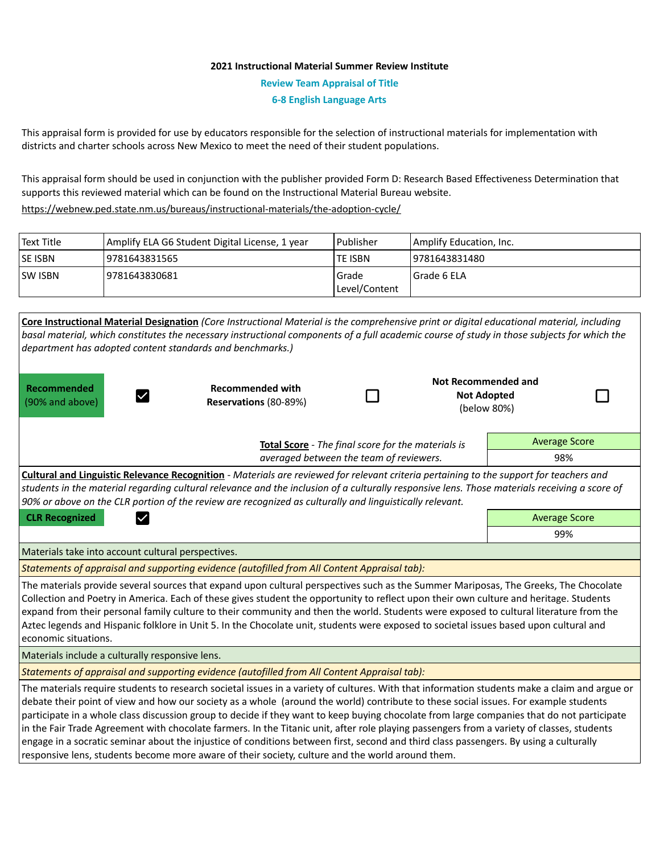## **2021 Instructional Material Summer Review Institute**

**Review Team Appraisal of Title**

**6-8 English Language Arts**

This appraisal form is provided for use by educators responsible for the selection of instructional materials for implementation with districts and charter schools across New Mexico to meet the need of their student populations.

This appraisal form should be used in conjunction with the publisher provided Form D: Research Based Effectiveness Determination that supports this reviewed material which can be found on the Instructional Material Bureau website.

<https://webnew.ped.state.nm.us/bureaus/instructional-materials/the-adoption-cycle/>

| Text Title     | Amplify ELA G6 Student Digital License, 1 year | l Publisher   | Amplify Education, Inc. |
|----------------|------------------------------------------------|---------------|-------------------------|
| <b>SE ISBN</b> | 19781643831565                                 | TE ISBN       | 19781643831480          |
| <b>SW ISBN</b> | 19781643830681                                 | Grade         | l Grade 6 ELA           |
|                |                                                | Level/Content |                         |

| Core Instructional Material Designation (Core Instructional Material is the comprehensive print or digital educational material, including<br>basal material, which constitutes the necessary instructional components of a full academic course of study in those subjects for which the<br>department has adopted content standards and benchmarks.)                                                                                                                                                                                                                                                                                                                                                                                                                                                                          |                                                    |  |  |                                                                 |  |  |  |
|---------------------------------------------------------------------------------------------------------------------------------------------------------------------------------------------------------------------------------------------------------------------------------------------------------------------------------------------------------------------------------------------------------------------------------------------------------------------------------------------------------------------------------------------------------------------------------------------------------------------------------------------------------------------------------------------------------------------------------------------------------------------------------------------------------------------------------|----------------------------------------------------|--|--|-----------------------------------------------------------------|--|--|--|
| <b>Recommended</b><br>$\checkmark$<br>(90% and above)                                                                                                                                                                                                                                                                                                                                                                                                                                                                                                                                                                                                                                                                                                                                                                           | <b>Recommended with</b><br>Reservations (80-89%)   |  |  | <b>Not Recommended and</b><br><b>Not Adopted</b><br>(below 80%) |  |  |  |
|                                                                                                                                                                                                                                                                                                                                                                                                                                                                                                                                                                                                                                                                                                                                                                                                                                 | Total Score - The final score for the materials is |  |  | <b>Average Score</b>                                            |  |  |  |
| averaged between the team of reviewers.                                                                                                                                                                                                                                                                                                                                                                                                                                                                                                                                                                                                                                                                                                                                                                                         |                                                    |  |  | 98%                                                             |  |  |  |
| Cultural and Linguistic Relevance Recognition - Materials are reviewed for relevant criteria pertaining to the support for teachers and<br>students in the material regarding cultural relevance and the inclusion of a culturally responsive lens. Those materials receiving a score of<br>90% or above on the CLR portion of the review are recognized as culturally and linguistically relevant.                                                                                                                                                                                                                                                                                                                                                                                                                             |                                                    |  |  |                                                                 |  |  |  |
| <b>CLR Recognized</b><br>$\checkmark$                                                                                                                                                                                                                                                                                                                                                                                                                                                                                                                                                                                                                                                                                                                                                                                           |                                                    |  |  | <b>Average Score</b>                                            |  |  |  |
|                                                                                                                                                                                                                                                                                                                                                                                                                                                                                                                                                                                                                                                                                                                                                                                                                                 |                                                    |  |  | 99%                                                             |  |  |  |
| Materials take into account cultural perspectives.                                                                                                                                                                                                                                                                                                                                                                                                                                                                                                                                                                                                                                                                                                                                                                              |                                                    |  |  |                                                                 |  |  |  |
| Statements of appraisal and supporting evidence (autofilled from All Content Appraisal tab):                                                                                                                                                                                                                                                                                                                                                                                                                                                                                                                                                                                                                                                                                                                                    |                                                    |  |  |                                                                 |  |  |  |
| The materials provide several sources that expand upon cultural perspectives such as the Summer Mariposas, The Greeks, The Chocolate<br>Collection and Poetry in America. Each of these gives student the opportunity to reflect upon their own culture and heritage. Students<br>expand from their personal family culture to their community and then the world. Students were exposed to cultural literature from the<br>Aztec legends and Hispanic folklore in Unit 5. In the Chocolate unit, students were exposed to societal issues based upon cultural and<br>economic situations.                                                                                                                                                                                                                                      |                                                    |  |  |                                                                 |  |  |  |
| Materials include a culturally responsive lens.                                                                                                                                                                                                                                                                                                                                                                                                                                                                                                                                                                                                                                                                                                                                                                                 |                                                    |  |  |                                                                 |  |  |  |
| Statements of appraisal and supporting evidence (autofilled from All Content Appraisal tab):                                                                                                                                                                                                                                                                                                                                                                                                                                                                                                                                                                                                                                                                                                                                    |                                                    |  |  |                                                                 |  |  |  |
| The materials require students to research societal issues in a variety of cultures. With that information students make a claim and argue or<br>debate their point of view and how our society as a whole (around the world) contribute to these social issues. For example students<br>participate in a whole class discussion group to decide if they want to keep buying chocolate from large companies that do not participate<br>in the Fair Trade Agreement with chocolate farmers. In the Titanic unit, after role playing passengers from a variety of classes, students<br>engage in a socratic seminar about the injustice of conditions between first, second and third class passengers. By using a culturally<br>responsive lens, students become more aware of their society, culture and the world around them. |                                                    |  |  |                                                                 |  |  |  |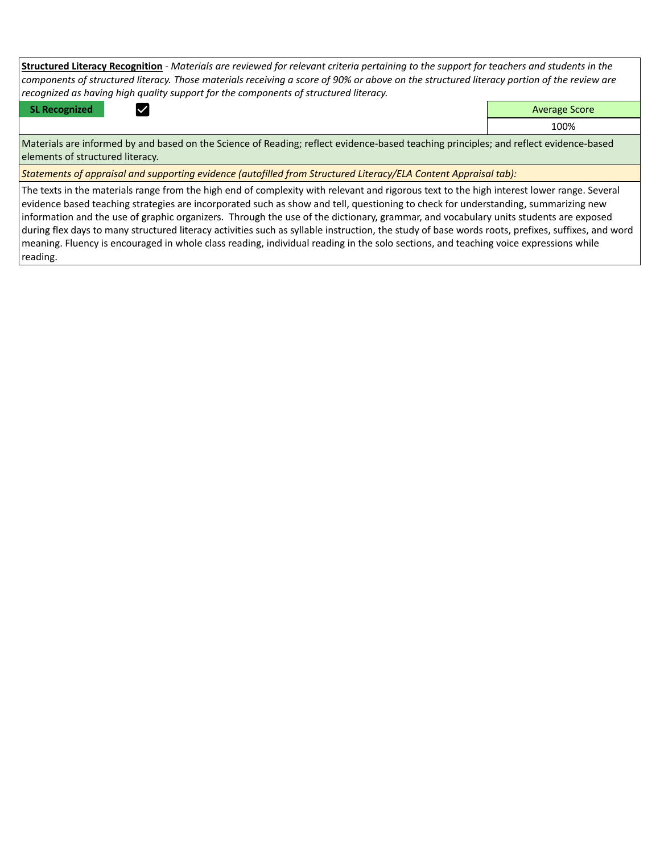| <b>Structured Literacy Recognition</b> - Materials are reviewed for relevant criteria pertaining to the support for teachers and students in the |                      |  |  |  |  |
|--------------------------------------------------------------------------------------------------------------------------------------------------|----------------------|--|--|--|--|
| components of structured literacy. Those materials receiving a score of 90% or above on the structured literacy portion of the review are        |                      |  |  |  |  |
| recognized as having high quality support for the components of structured literacy.                                                             |                      |  |  |  |  |
| <b>SL Recognized</b>                                                                                                                             | <b>Average Score</b> |  |  |  |  |

100%

Materials are informed by and based on the Science of Reading; reflect evidence-based teaching principles; and reflect evidence-based elements of structured literacy.

*Statements of appraisal and supporting evidence (autofilled from Structured Literacy/ELA Content Appraisal tab):* 

The texts in the materials range from the high end of complexity with relevant and rigorous text to the high interest lower range. Several evidence based teaching strategies are incorporated such as show and tell, questioning to check for understanding, summarizing new information and the use of graphic organizers. Through the use of the dictionary, grammar, and vocabulary units students are exposed during flex days to many structured literacy activities such as syllable instruction, the study of base words roots, prefixes, suffixes, and word meaning. Fluency is encouraged in whole class reading, individual reading in the solo sections, and teaching voice expressions while reading.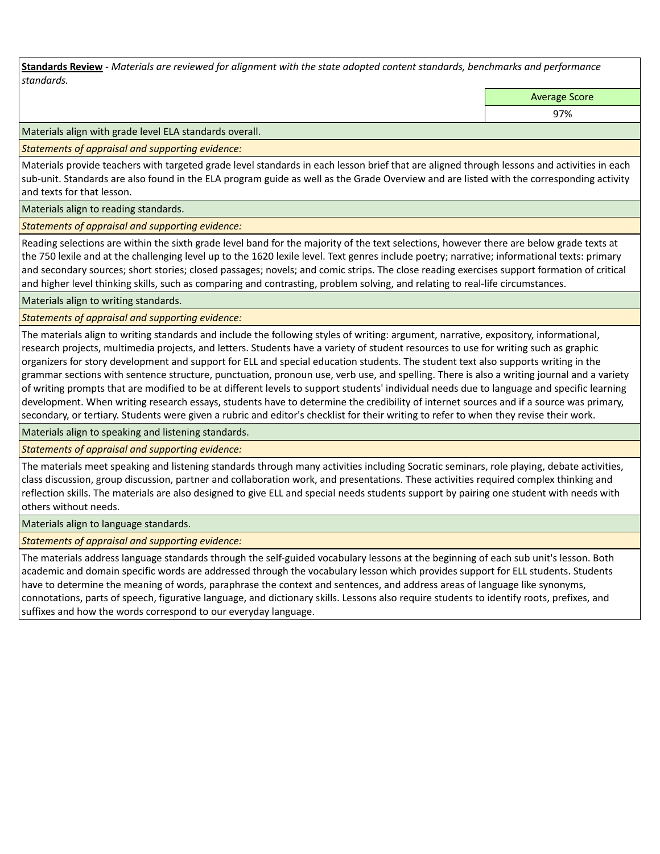**Standards Review** *- Materials are reviewed for alignment with the state adopted content standards, benchmarks and performance standards.*

Average Score

97%

Materials align with grade level ELA standards overall.

*Statements of appraisal and supporting evidence:* 

Materials provide teachers with targeted grade level standards in each lesson brief that are aligned through lessons and activities in each sub-unit. Standards are also found in the ELA program guide as well as the Grade Overview and are listed with the corresponding activity and texts for that lesson.

Materials align to reading standards.

*Statements of appraisal and supporting evidence:* 

Reading selections are within the sixth grade level band for the majority of the text selections, however there are below grade texts at the 750 lexile and at the challenging level up to the 1620 lexile level. Text genres include poetry; narrative; informational texts: primary and secondary sources; short stories; closed passages; novels; and comic strips. The close reading exercises support formation of critical and higher level thinking skills, such as comparing and contrasting, problem solving, and relating to real-life circumstances.

Materials align to writing standards.

*Statements of appraisal and supporting evidence:* 

The materials align to writing standards and include the following styles of writing: argument, narrative, expository, informational, research projects, multimedia projects, and letters. Students have a variety of student resources to use for writing such as graphic organizers for story development and support for ELL and special education students. The student text also supports writing in the grammar sections with sentence structure, punctuation, pronoun use, verb use, and spelling. There is also a writing journal and a variety of writing prompts that are modified to be at different levels to support students' individual needs due to language and specific learning development. When writing research essays, students have to determine the credibility of internet sources and if a source was primary, secondary, or tertiary. Students were given a rubric and editor's checklist for their writing to refer to when they revise their work.

Materials align to speaking and listening standards.

*Statements of appraisal and supporting evidence:* 

The materials meet speaking and listening standards through many activities including Socratic seminars, role playing, debate activities, class discussion, group discussion, partner and collaboration work, and presentations. These activities required complex thinking and reflection skills. The materials are also designed to give ELL and special needs students support by pairing one student with needs with others without needs.

Materials align to language standards.

*Statements of appraisal and supporting evidence:* 

The materials address language standards through the self-guided vocabulary lessons at the beginning of each sub unit's lesson. Both academic and domain specific words are addressed through the vocabulary lesson which provides support for ELL students. Students have to determine the meaning of words, paraphrase the context and sentences, and address areas of language like synonyms, connotations, parts of speech, figurative language, and dictionary skills. Lessons also require students to identify roots, prefixes, and suffixes and how the words correspond to our everyday language.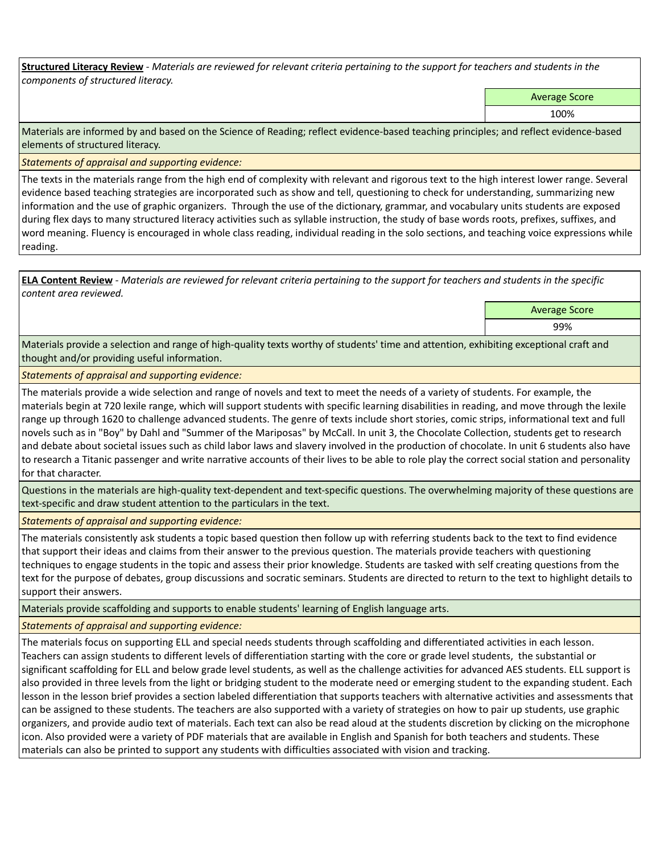**Structured Literacy Review** *- Materials are reviewed for relevant criteria pertaining to the support for teachers and students in the components of structured literacy.*

Average Score

100%

Materials are informed by and based on the Science of Reading; reflect evidence-based teaching principles; and reflect evidence-based elements of structured literacy.

*Statements of appraisal and supporting evidence:*

The texts in the materials range from the high end of complexity with relevant and rigorous text to the high interest lower range. Several evidence based teaching strategies are incorporated such as show and tell, questioning to check for understanding, summarizing new information and the use of graphic organizers. Through the use of the dictionary, grammar, and vocabulary units students are exposed during flex days to many structured literacy activities such as syllable instruction, the study of base words roots, prefixes, suffixes, and word meaning. Fluency is encouraged in whole class reading, individual reading in the solo sections, and teaching voice expressions while reading.

**ELA Content Review** *- Materials are reviewed for relevant criteria pertaining to the support for teachers and students in the specific content area reviewed.*

Average Score

99%

Materials provide a selection and range of high-quality texts worthy of students' time and attention, exhibiting exceptional craft and thought and/or providing useful information.

*Statements of appraisal and supporting evidence:* 

The materials provide a wide selection and range of novels and text to meet the needs of a variety of students. For example, the materials begin at 720 lexile range, which will support students with specific learning disabilities in reading, and move through the lexile range up through 1620 to challenge advanced students. The genre of texts include short stories, comic strips, informational text and full novels such as in "Boy" by Dahl and "Summer of the Mariposas" by McCall. In unit 3, the Chocolate Collection, students get to research and debate about societal issues such as child labor laws and slavery involved in the production of chocolate. In unit 6 students also have to research a Titanic passenger and write narrative accounts of their lives to be able to role play the correct social station and personality for that character.

Questions in the materials are high-quality text-dependent and text-specific questions. The overwhelming majority of these questions are text-specific and draw student attention to the particulars in the text.

*Statements of appraisal and supporting evidence:* 

The materials consistently ask students a topic based question then follow up with referring students back to the text to find evidence that support their ideas and claims from their answer to the previous question. The materials provide teachers with questioning techniques to engage students in the topic and assess their prior knowledge. Students are tasked with self creating questions from the text for the purpose of debates, group discussions and socratic seminars. Students are directed to return to the text to highlight details to support their answers.

Materials provide scaffolding and supports to enable students' learning of English language arts.

*Statements of appraisal and supporting evidence:* 

The materials focus on supporting ELL and special needs students through scaffolding and differentiated activities in each lesson. Teachers can assign students to different levels of differentiation starting with the core or grade level students, the substantial or significant scaffolding for ELL and below grade level students, as well as the challenge activities for advanced AES students. ELL support is also provided in three levels from the light or bridging student to the moderate need or emerging student to the expanding student. Each lesson in the lesson brief provides a section labeled differentiation that supports teachers with alternative activities and assessments that can be assigned to these students. The teachers are also supported with a variety of strategies on how to pair up students, use graphic organizers, and provide audio text of materials. Each text can also be read aloud at the students discretion by clicking on the microphone icon. Also provided were a variety of PDF materials that are available in English and Spanish for both teachers and students. These materials can also be printed to support any students with difficulties associated with vision and tracking.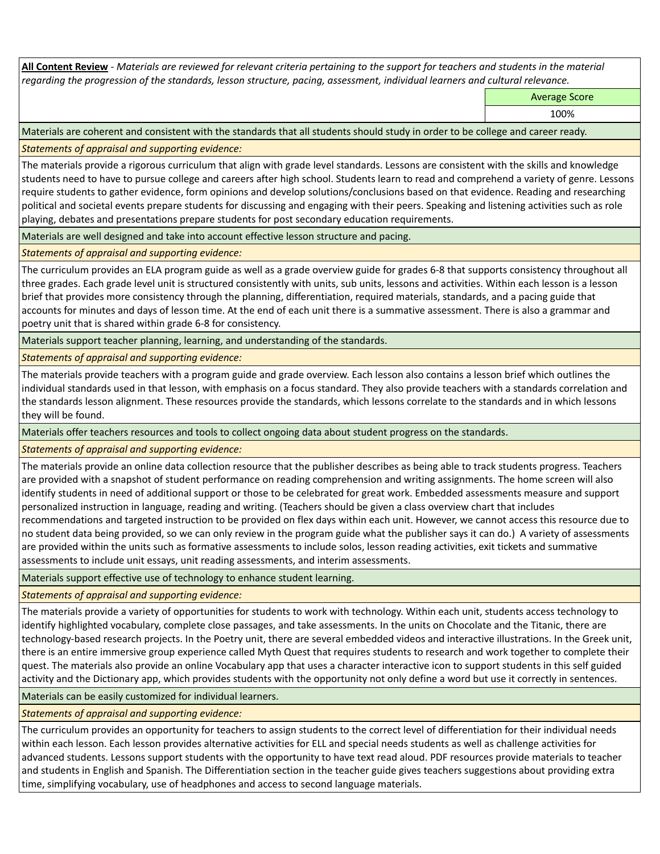**All Content Review** *- Materials are reviewed for relevant criteria pertaining to the support for teachers and students in the material regarding the progression of the standards, lesson structure, pacing, assessment, individual learners and cultural relevance.*

Average Score

100%

Materials are coherent and consistent with the standards that all students should study in order to be college and career ready.

*Statements of appraisal and supporting evidence:*

The materials provide a rigorous curriculum that align with grade level standards. Lessons are consistent with the skills and knowledge students need to have to pursue college and careers after high school. Students learn to read and comprehend a variety of genre. Lessons require students to gather evidence, form opinions and develop solutions/conclusions based on that evidence. Reading and researching political and societal events prepare students for discussing and engaging with their peers. Speaking and listening activities such as role playing, debates and presentations prepare students for post secondary education requirements.

Materials are well designed and take into account effective lesson structure and pacing.

*Statements of appraisal and supporting evidence:*

The curriculum provides an ELA program guide as well as a grade overview guide for grades 6-8 that supports consistency throughout all three grades. Each grade level unit is structured consistently with units, sub units, lessons and activities. Within each lesson is a lesson brief that provides more consistency through the planning, differentiation, required materials, standards, and a pacing guide that accounts for minutes and days of lesson time. At the end of each unit there is a summative assessment. There is also a grammar and poetry unit that is shared within grade 6-8 for consistency.

Materials support teacher planning, learning, and understanding of the standards.

*Statements of appraisal and supporting evidence:*

The materials provide teachers with a program guide and grade overview. Each lesson also contains a lesson brief which outlines the individual standards used in that lesson, with emphasis on a focus standard. They also provide teachers with a standards correlation and the standards lesson alignment. These resources provide the standards, which lessons correlate to the standards and in which lessons they will be found.

Materials offer teachers resources and tools to collect ongoing data about student progress on the standards.

*Statements of appraisal and supporting evidence:*

The materials provide an online data collection resource that the publisher describes as being able to track students progress. Teachers are provided with a snapshot of student performance on reading comprehension and writing assignments. The home screen will also identify students in need of additional support or those to be celebrated for great work. Embedded assessments measure and support personalized instruction in language, reading and writing. (Teachers should be given a class overview chart that includes recommendations and targeted instruction to be provided on flex days within each unit. However, we cannot access this resource due to no student data being provided, so we can only review in the program guide what the publisher says it can do.) A variety of assessments are provided within the units such as formative assessments to include solos, lesson reading activities, exit tickets and summative assessments to include unit essays, unit reading assessments, and interim assessments.

Materials support effective use of technology to enhance student learning.

*Statements of appraisal and supporting evidence:*

The materials provide a variety of opportunities for students to work with technology. Within each unit, students access technology to identify highlighted vocabulary, complete close passages, and take assessments. In the units on Chocolate and the Titanic, there are technology-based research projects. In the Poetry unit, there are several embedded videos and interactive illustrations. In the Greek unit, there is an entire immersive group experience called Myth Quest that requires students to research and work together to complete their quest. The materials also provide an online Vocabulary app that uses a character interactive icon to support students in this self guided activity and the Dictionary app, which provides students with the opportunity not only define a word but use it correctly in sentences.

Materials can be easily customized for individual learners.

*Statements of appraisal and supporting evidence:* 

The curriculum provides an opportunity for teachers to assign students to the correct level of differentiation for their individual needs within each lesson. Each lesson provides alternative activities for ELL and special needs students as well as challenge activities for advanced students. Lessons support students with the opportunity to have text read aloud. PDF resources provide materials to teacher and students in English and Spanish. The Differentiation section in the teacher guide gives teachers suggestions about providing extra time, simplifying vocabulary, use of headphones and access to second language materials.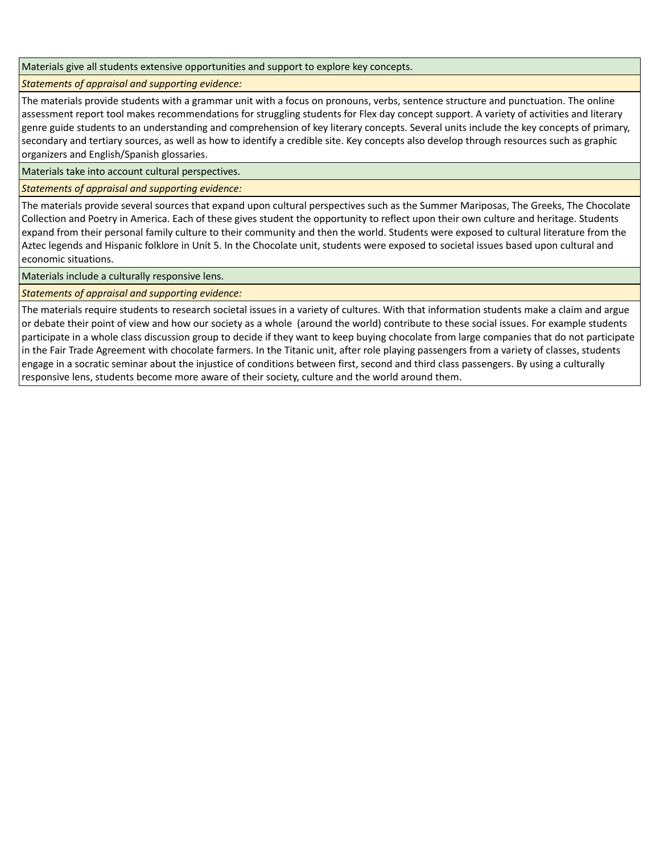Materials give all students extensive opportunities and support to explore key concepts.

*Statements of appraisal and supporting evidence:*

The materials provide students with a grammar unit with a focus on pronouns, verbs, sentence structure and punctuation. The online assessment report tool makes recommendations for struggling students for Flex day concept support. A variety of activities and literary genre guide students to an understanding and comprehension of key literary concepts. Several units include the key concepts of primary, secondary and tertiary sources, as well as how to identify a credible site. Key concepts also develop through resources such as graphic organizers and English/Spanish glossaries.

Materials take into account cultural perspectives.

*Statements of appraisal and supporting evidence:*

The materials provide several sources that expand upon cultural perspectives such as the Summer Mariposas, The Greeks, The Chocolate Collection and Poetry in America. Each of these gives student the opportunity to reflect upon their own culture and heritage. Students expand from their personal family culture to their community and then the world. Students were exposed to cultural literature from the Aztec legends and Hispanic folklore in Unit 5. In the Chocolate unit, students were exposed to societal issues based upon cultural and economic situations.

Materials include a culturally responsive lens.

*Statements of appraisal and supporting evidence:*

The materials require students to research societal issues in a variety of cultures. With that information students make a claim and argue or debate their point of view and how our society as a whole (around the world) contribute to these social issues. For example students participate in a whole class discussion group to decide if they want to keep buying chocolate from large companies that do not participate in the Fair Trade Agreement with chocolate farmers. In the Titanic unit, after role playing passengers from a variety of classes, students engage in a socratic seminar about the injustice of conditions between first, second and third class passengers. By using a culturally responsive lens, students become more aware of their society, culture and the world around them.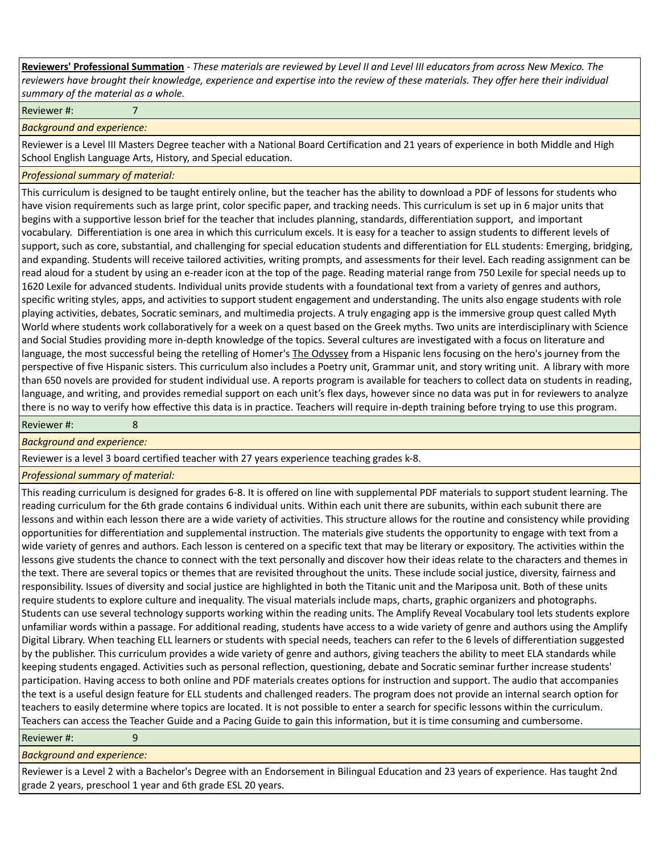**Reviewers' Professional Summation** *- These materials are reviewed by Level II and Level III educators from across New Mexico. The reviewers have brought their knowledge, experience and expertise into the review of these materials. They offer here their individual summary of the material as a whole.*

Reviewer #: 7

*Background and experience:*

Reviewer is a Level III Masters Degree teacher with a National Board Certification and 21 years of experience in both Middle and High School English Language Arts, History, and Special education.

## *Professional summary of material:*

This curriculum is designed to be taught entirely online, but the teacher has the ability to download a PDF of lessons for students who have vision requirements such as large print, color specific paper, and tracking needs. This curriculum is set up in 6 major units that begins with a supportive lesson brief for the teacher that includes planning, standards, differentiation support, and important vocabulary. Differentiation is one area in which this curriculum excels. It is easy for a teacher to assign students to different levels of support, such as core, substantial, and challenging for special education students and differentiation for ELL students: Emerging, bridging, and expanding. Students will receive tailored activities, writing prompts, and assessments for their level. Each reading assignment can be read aloud for a student by using an e-reader icon at the top of the page. Reading material range from 750 Lexile for special needs up to 1620 Lexile for advanced students. Individual units provide students with a foundational text from a variety of genres and authors, specific writing styles, apps, and activities to support student engagement and understanding. The units also engage students with role playing activities, debates, Socratic seminars, and multimedia projects. A truly engaging app is the immersive group quest called Myth World where students work collaboratively for a week on a quest based on the Greek myths. Two units are interdisciplinary with Science and Social Studies providing more in-depth knowledge of the topics. Several cultures are investigated with a focus on literature and language, the most successful being the retelling of Homer's The Odyssey from a Hispanic lens focusing on the hero's journey from the perspective of five Hispanic sisters. This curriculum also includes a Poetry unit, Grammar unit, and story writing unit. A library with more than 650 novels are provided for student individual use. A reports program is available for teachers to collect data on students in reading, language, and writing, and provides remedial support on each unit's flex days, however since no data was put in for reviewers to analyze there is no way to verify how effective this data is in practice. Teachers will require in-depth training before trying to use this program.

Reviewer #: 8

*Background and experience:*

Reviewer is a level 3 board certified teacher with 27 years experience teaching grades k-8.

*Professional summary of material:*

This reading curriculum is designed for grades 6-8. It is offered on line with supplemental PDF materials to support student learning. The reading curriculum for the 6th grade contains 6 individual units. Within each unit there are subunits, within each subunit there are lessons and within each lesson there are a wide variety of activities. This structure allows for the routine and consistency while providing opportunities for differentiation and supplemental instruction. The materials give students the opportunity to engage with text from a wide variety of genres and authors. Each lesson is centered on a specific text that may be literary or expository. The activities within the lessons give students the chance to connect with the text personally and discover how their ideas relate to the characters and themes in the text. There are several topics or themes that are revisited throughout the units. These include social justice, diversity, fairness and responsibility. Issues of diversity and social justice are highlighted in both the Titanic unit and the Mariposa unit. Both of these units require students to explore culture and inequality. The visual materials include maps, charts, graphic organizers and photographs. Students can use several technology supports working within the reading units. The Amplify Reveal Vocabulary tool lets students explore unfamiliar words within a passage. For additional reading, students have access to a wide variety of genre and authors using the Amplify Digital Library. When teaching ELL learners or students with special needs, teachers can refer to the 6 levels of differentiation suggested by the publisher. This curriculum provides a wide variety of genre and authors, giving teachers the ability to meet ELA standards while keeping students engaged. Activities such as personal reflection, questioning, debate and Socratic seminar further increase students' participation. Having access to both online and PDF materials creates options for instruction and support. The audio that accompanies the text is a useful design feature for ELL students and challenged readers. The program does not provide an internal search option for teachers to easily determine where topics are located. It is not possible to enter a search for specific lessons within the curriculum. Teachers can access the Teacher Guide and a Pacing Guide to gain this information, but it is time consuming and cumbersome.

Reviewer #: 9

## *Background and experience:*

Reviewer is a Level 2 with a Bachelor's Degree with an Endorsement in Bilingual Education and 23 years of experience. Has taught 2nd grade 2 years, preschool 1 year and 6th grade ESL 20 years.